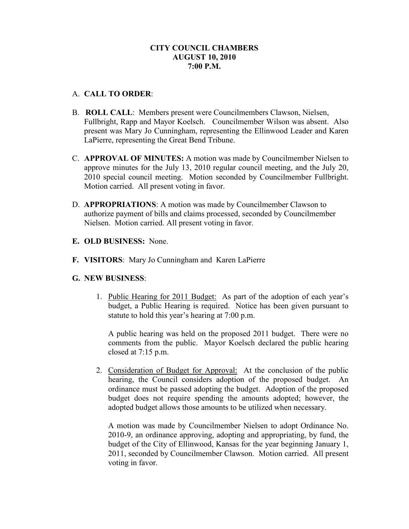# **CITY COUNCIL CHAMBERS AUGUST 10, 2010 7:00 P.M.**

### A. **CALL TO ORDER**:

- B. **ROLL CALL**: Members present were Councilmembers Clawson, Nielsen, Fullbright, Rapp and Mayor Koelsch. Councilmember Wilson was absent. Also present was Mary Jo Cunningham, representing the Ellinwood Leader and Karen LaPierre, representing the Great Bend Tribune.
- C. **APPROVAL OF MINUTES:** A motion was made by Councilmember Nielsen to approve minutes for the July 13, 2010 regular council meeting, and the July 20, 2010 special council meeting. Motion seconded by Councilmember Fullbright. Motion carried. All present voting in favor.
- D. **APPROPRIATIONS**: A motion was made by Councilmember Clawson to authorize payment of bills and claims processed, seconded by Councilmember Nielsen. Motion carried. All present voting in favor.
- **E. OLD BUSINESS:** None.
- **F. VISITORS**: Mary Jo Cunningham and Karen LaPierre

### **G. NEW BUSINESS**:

1. Public Hearing for 2011 Budget: As part of the adoption of each year's budget, a Public Hearing is required. Notice has been given pursuant to statute to hold this year's hearing at 7:00 p.m.

A public hearing was held on the proposed 2011 budget. There were no comments from the public. Mayor Koelsch declared the public hearing closed at 7:15 p.m.

2. Consideration of Budget for Approval: At the conclusion of the public hearing, the Council considers adoption of the proposed budget. An ordinance must be passed adopting the budget. Adoption of the proposed budget does not require spending the amounts adopted; however, the adopted budget allows those amounts to be utilized when necessary.

A motion was made by Councilmember Nielsen to adopt Ordinance No. 2010-9, an ordinance approving, adopting and appropriating, by fund, the budget of the City of Ellinwood, Kansas for the year beginning January 1, 2011, seconded by Councilmember Clawson. Motion carried. All present voting in favor.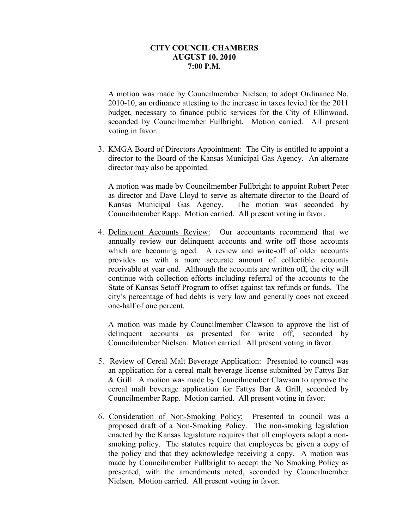#### **CITY COUNCIL CHAMBERS AUGUST 10, 2010 7:00 P.M.**

A motion was made by Councilmember Nielsen, to adopt Ordinance No. 2010-10, an ordinance attesting to the increase in taxes levied for the 2011 budget, necessary to finance public services for the City of Ellinwood, seconded by Councilmember Fullbright. Motion carried. All present voting in favor.

3. KMGA Board of Directors Appointment: The City is entitled to appoint a director to the Board of the Kansas Municipal Gas Agency. An alternate director may also be appointed.

 A motion was made by Councilmember Fullbright to appoint Robert Peter as director and Dave Lloyd to serve as alternate director to the Board of Kansas Municipal Gas Agency. The motion was seconded by Councilmember Rapp. Motion carried. All present voting in favor.

4. Delinquent Accounts Review: Our accountants recommend that we annually review our delinquent accounts and write off those accounts which are becoming aged. A review and write-off of older accounts provides us with a more accurate amount of collectible accounts receivable at year end. Although the accounts are written off, the city will continue with collection efforts including referral of the accounts to the State of Kansas Setoff Program to offset against tax refunds or funds. The city's percentage of bad debts is very low and generally does not exceed one-half of one percent.

 A motion was made by Councilmember Clawson to approve the list of delinquent accounts as presented for write off, seconded by Councilmember Nielsen. Motion carried. All present voting in favor.

- 5. Review of Cereal Malt Beverage Application: Presented to council was an application for a cereal malt beverage license submitted by Fattys Bar & Grill. A motion was made by Councilmember Clawson to approve the cereal malt beverage application for Fattys Bar & Grill, seconded by Councilmember Rapp. Motion carried. All present voting in favor.
- 6. Consideration of Non-Smoking Policy: Presented to council was a proposed draft of a Non-Smoking Policy. The non-smoking legislation enacted by the Kansas legislature requires that all employers adopt a nonsmoking policy. The statutes require that employees be given a copy of the policy and that they acknowledge receiving a copy. A motion was made by Councilmember Fullbright to accept the No Smoking Policy as presented, with the amendments noted, seconded by Councilmember Nielsen. Motion carried. All present voting in favor.